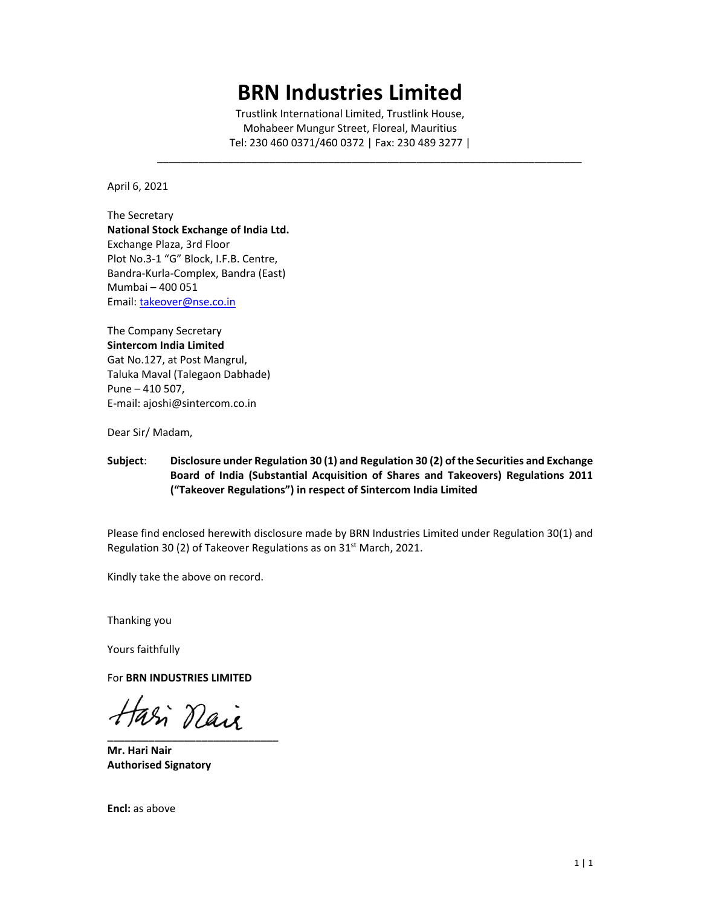# **BRN Industries Limited**

Trustlink International Limited, Trustlink House, Mohabeer Mungur Street, Floreal, Mauritius Tel: 230 460 0371/460 0372 | Fax: 230 489 3277 |

 $\mathcal{L}_\text{max} = \frac{1}{2} \sum_{i=1}^{n} \frac{1}{2} \sum_{i=1}^{n} \frac{1}{2} \sum_{i=1}^{n} \frac{1}{2} \sum_{i=1}^{n} \frac{1}{2} \sum_{i=1}^{n} \frac{1}{2} \sum_{i=1}^{n} \frac{1}{2} \sum_{i=1}^{n} \frac{1}{2} \sum_{i=1}^{n} \frac{1}{2} \sum_{i=1}^{n} \frac{1}{2} \sum_{i=1}^{n} \frac{1}{2} \sum_{i=1}^{n} \frac{1}{2} \sum_{i=1}^{n} \frac{1$ 

April 6, 2021

The Secretary **National Stock Exchange of India Ltd.**  Exchange Plaza, 3rd Floor Plot No.3‐1 "G" Block, I.F.B. Centre, Bandra‐Kurla‐Complex, Bandra (East) Mumbai – 400 051 Email: takeover@nse.co.in

The Company Secretary **Sintercom India Limited**  Gat No.127, at Post Mangrul, Taluka Maval (Talegaon Dabhade) Pune – 410 507, E‐mail: ajoshi@sintercom.co.in

Dear Sir/ Madam,

#### **Subject**: **Disclosure under Regulation 30 (1) and Regulation 30 (2) of the Securities and Exchange Board of India (Substantial Acquisition of Shares and Takeovers) Regulations 2011 ("Takeover Regulations") in respect of Sintercom India Limited**

Please find enclosed herewith disclosure made by BRN Industries Limited under Regulation 30(1) and Regulation 30 (2) of Takeover Regulations as on 31<sup>st</sup> March, 2021.

Kindly take the above on record.

Thanking you

Yours faithfully

For **BRN INDUSTRIES LIMITED** 

**\_\_\_\_\_\_\_\_\_\_\_\_\_\_\_\_\_\_\_\_\_\_\_\_\_\_\_\_\_** 

**Mr. Hari Nair Authorised Signatory** 

**Encl:** as above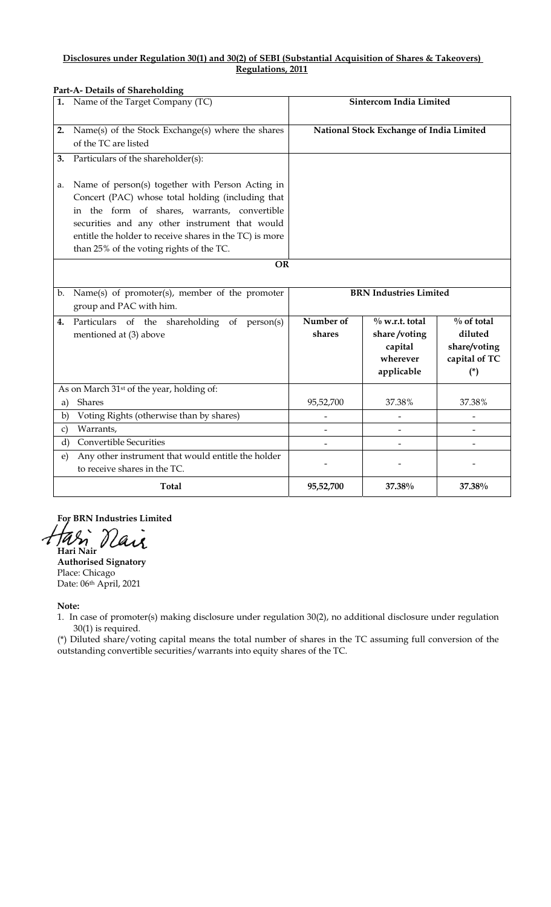#### **Disclosures under Regulation 30(1) and 30(2) of SEBI (Substantial Acquisition of Shares & Takeovers) Regulations, 2011**

| Part-A- Details of Shareholding |                                                                                                                                                                                                                                                                                                                             |                                          |                                                                        |                                                                    |  |
|---------------------------------|-----------------------------------------------------------------------------------------------------------------------------------------------------------------------------------------------------------------------------------------------------------------------------------------------------------------------------|------------------------------------------|------------------------------------------------------------------------|--------------------------------------------------------------------|--|
| 1.                              | Name of the Target Company (TC)                                                                                                                                                                                                                                                                                             | <b>Sintercom India Limited</b>           |                                                                        |                                                                    |  |
| 2.                              | Name(s) of the Stock Exchange(s) where the shares<br>of the TC are listed                                                                                                                                                                                                                                                   | National Stock Exchange of India Limited |                                                                        |                                                                    |  |
| 3.                              | Particulars of the shareholder(s):                                                                                                                                                                                                                                                                                          |                                          |                                                                        |                                                                    |  |
| a.                              | Name of person(s) together with Person Acting in<br>Concert (PAC) whose total holding (including that<br>in the form of shares, warrants, convertible<br>securities and any other instrument that would<br>entitle the holder to receive shares in the TC) is more<br>than 25% of the voting rights of the TC.<br><b>OR</b> |                                          |                                                                        |                                                                    |  |
|                                 |                                                                                                                                                                                                                                                                                                                             |                                          |                                                                        |                                                                    |  |
| b.                              | Name(s) of promoter(s), member of the promoter<br>group and PAC with him.                                                                                                                                                                                                                                                   | <b>BRN</b> Industries Limited            |                                                                        |                                                                    |  |
| 4.                              | Particulars of the shareholding of person(s)<br>mentioned at (3) above                                                                                                                                                                                                                                                      | Number of<br>shares                      | $\%$ w.r.t. total<br>share/voting<br>capital<br>wherever<br>applicable | $\%$ of total<br>diluted<br>share/voting<br>capital of TC<br>$(*)$ |  |
|                                 | As on March 31 <sup>st</sup> of the year, holding of:                                                                                                                                                                                                                                                                       |                                          |                                                                        |                                                                    |  |
| a)                              | Shares                                                                                                                                                                                                                                                                                                                      | 95,52,700                                | 37.38%                                                                 | 37.38%                                                             |  |
| b)                              | Voting Rights (otherwise than by shares)                                                                                                                                                                                                                                                                                    | $\overline{\phantom{0}}$                 |                                                                        |                                                                    |  |
| $\mathbf{c})$                   | Warrants,                                                                                                                                                                                                                                                                                                                   |                                          |                                                                        |                                                                    |  |
| d)                              | <b>Convertible Securities</b>                                                                                                                                                                                                                                                                                               |                                          |                                                                        |                                                                    |  |
| $\epsilon$                      | Any other instrument that would entitle the holder<br>to receive shares in the TC.                                                                                                                                                                                                                                          |                                          |                                                                        |                                                                    |  |
|                                 | <b>Total</b>                                                                                                                                                                                                                                                                                                                | 95,52,700                                | 37.38%                                                                 | 37.38%                                                             |  |

 **For BRN Industries Limited**  Has  **Hari Nair** 

**Authorised Signatory**  Place: Chicago Date: 06th April, 2021

**Note:** 

1. In case of promoter(s) making disclosure under regulation 30(2), no additional disclosure under regulation 30(1) is required.

(\*) Diluted share/voting capital means the total number of shares in the TC assuming full conversion of the outstanding convertible securities/warrants into equity shares of the TC.